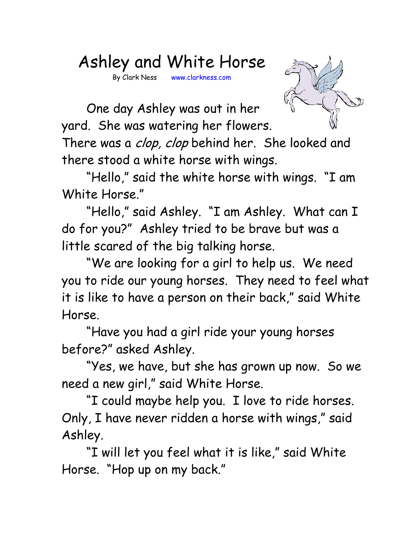## Ashley and White Horse

By Clark Ness www.clarkness.com



One day Ashley was out in her yard. She was watering her flowers.

There was a *clop, clop* behind her. She looked and there stood a white horse with wings.

"Hello," said the white horse with wings. "I am White Horse."

"Hello," said Ashley. "I am Ashley. What can I do for you?" Ashley tried to be brave but was a little scared of the big talking horse.

"We are looking for a girl to help us. We need you to ride our young horses. They need to feel what it is like to have a person on their back," said White Horse.

"Have you had a girl ride your young horses before?" asked Ashley.

"Yes, we have, but she has grown up now. So we need a new girl," said White Horse.

"I could maybe help you. I love to ride horses. Only, I have never ridden a horse with wings," said Ashley.

"I will let you feel what it is like," said White Horse. "Hop up on my back."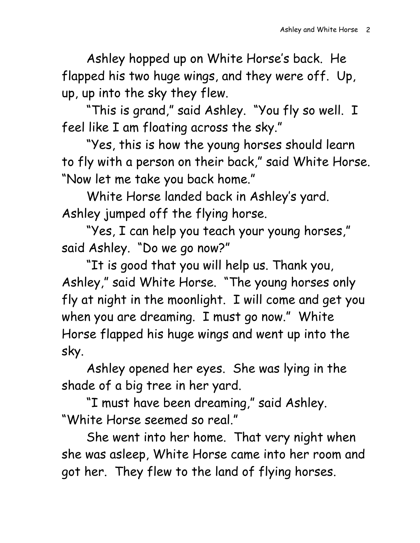Ashley hopped up on White Horse's back. He flapped his two huge wings, and they were off. Up, up, up into the sky they flew.

"This is grand," said Ashley. "You fly so well. I feel like I am floating across the sky."

"Yes, this is how the young horses should learn to fly with a person on their back," said White Horse. "Now let me take you back home."

White Horse landed back in Ashley's yard. Ashley jumped off the flying horse.

"Yes, I can help you teach your young horses," said Ashley. "Do we go now?"

"It is good that you will help us. Thank you, Ashley," said White Horse. "The young horses only fly at night in the moonlight. I will come and get you when you are dreaming. I must go now." White Horse flapped his huge wings and went up into the sky.

Ashley opened her eyes. She was lying in the shade of a big tree in her yard.

"I must have been dreaming," said Ashley. "White Horse seemed so real."

She went into her home. That very night when she was asleep, White Horse came into her room and got her. They flew to the land of flying horses.